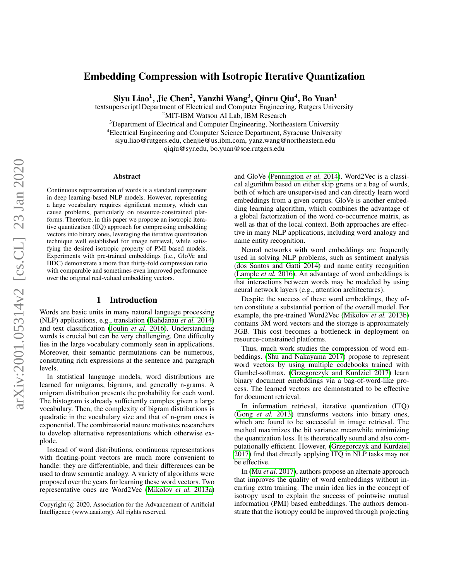# Embedding Compression with Isotropic Iterative Quantization

Siyu Liao<sup>1</sup>, Jie Chen<sup>2</sup>, Yanzhi Wang<sup>3</sup>, Qinru Qiu<sup>4</sup>, Bo Yuan<sup>1</sup>

textsuperscript1Department of Electrical and Computer Engineering, Rutgers University

<sup>2</sup>MIT-IBM Watson AI Lab, IBM Research

<sup>3</sup>Department of Electrical and Computer Engineering, Northeastern University

<sup>4</sup>Electrical Engineering and Computer Science Department, Syracuse University

siyu.liao@rutgers.edu, chenjie@us.ibm.com, yanz.wang@northeastern.edu

qiqiu@syr.edu, bo.yuan@soe.rutgers.edu

#### Abstract

Continuous representation of words is a standard component in deep learning-based NLP models. However, representing a large vocabulary requires significant memory, which can cause problems, particularly on resource-constrained platforms. Therefore, in this paper we propose an isotropic iterative quantization (IIQ) approach for compressing embedding vectors into binary ones, leveraging the iterative quantization technique well established for image retrieval, while satisfying the desired isotropic property of PMI based models. Experiments with pre-trained embeddings (i.e., GloVe and HDC) demonstrate a more than thirty-fold compression ratio with comparable and sometimes even improved performance over the original real-valued embedding vectors.

### 1 Introduction

Words are basic units in many natural language processing (NLP) applications, e.g., translation [\(Bahdanau](#page-6-0) *et al.* 2014) and text classification [\(Joulin](#page-7-0) *et al.* 2016). Understanding words is crucial but can be very challenging. One difficulty lies in the large vocabulary commonly seen in applications. Moreover, their semantic permutations can be numerous, constituting rich expressions at the sentence and paragraph levels.

In statistical language models, word distributions are learned for unigrams, bigrams, and generally n-grams. A unigram distribution presents the probability for each word. The histogram is already sufficiently complex given a large vocabulary. Then, the complexity of bigram distributions is quadratic in the vocabulary size and that of n-gram ones is exponential. The combinatorial nature motivates researchers to develop alternative representations which otherwise explode.

Instead of word distributions, continuous representations with floating-point vectors are much more convenient to handle: they are differentiable, and their differences can be used to draw semantic analogy. A variety of algorithms were proposed over the years for learning these word vectors. Two representative ones are Word2Vec [\(Mikolov](#page-7-1) *et al.* 2013a) and GloVe [\(Pennington](#page-7-2) *et al.* 2014). Word2Vec is a classical algorithm based on either skip grams or a bag of words, both of which are unsupervised and can directly learn word embeddings from a given corpus. GloVe is another embedding learning algorithm, which combines the advantage of a global factorization of the word co-occurrence matrix, as well as that of the local context. Both approaches are effective in many NLP applications, including word analogy and name entity recognition.

Neural networks with word embeddings are frequently used in solving NLP problems, such as sentiment analysis [\(dos Santos and Gatti 2014\)](#page-7-3) and name entity recognition [\(Lample](#page-7-4) *et al.* 2016). An advantage of word embeddings is that interactions between words may be modeled by using neural network layers (e.g., attention architectures).

Despite the success of these word embeddings, they often constitute a substantial portion of the overall model. For example, the pre-trained Word2Vec [\(Mikolov](#page-7-5) *et al.* 2013b) contains 3M word vectors and the storage is approximately 3GB. This cost becomes a bottleneck in deployment on resource-constrained platforms.

Thus, much work studies the compression of word embeddings. [\(Shu and Nakayama 2017\)](#page-7-6) propose to represent word vectors by using multiple codebooks trained with Gumbel-softmax. [\(Grzegorczyk and Kurdziel 2017\)](#page-7-7) learn binary document emebddings via a bag-of-word-like process. The learned vectors are demonstrated to be effective for document retrieval.

In information retrieval, iterative quantization (ITQ) [\(Gong](#page-7-8) *et al.* 2013) transforms vectors into binary ones, which are found to be successful in image retrieval. The method maximizes the bit variance meanwhile minimizing the quantization loss. It is theoretically sound and also computationally efficient. However, [\(Grzegorczyk and Kurdziel](#page-7-7) [2017\)](#page-7-7) find that directly applying ITQ in NLP tasks may not be effective.

In (Mu *et al.* [2017\)](#page-7-9), authors propose an alternate approach that improves the quality of word embeddings without incurring extra training. The main idea lies in the concept of isotropy used to explain the success of pointwise mutual information (PMI) based embeddings. The authors demonstrate that the isotropy could be improved through projecting

Copyright (c) 2020, Association for the Advancement of Artificial Intelligence (www.aaai.org). All rights reserved.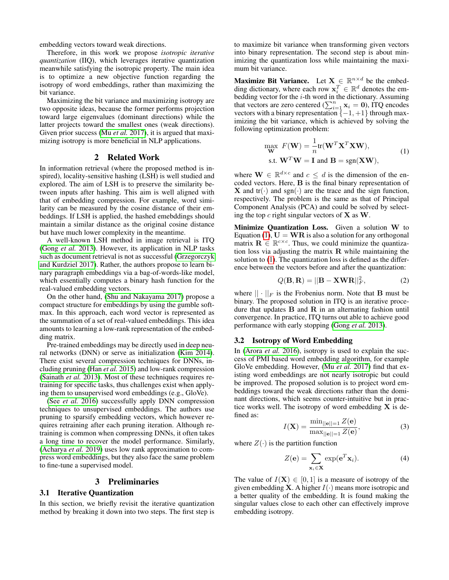embedding vectors toward weak directions.

Therefore, in this work we propose *isotropic iterative quantization* (IIQ), which leverages iterative quantization meanwhile satisfying the isotropic property. The main idea is to optimize a new objective function regarding the isotropy of word embeddings, rather than maximizing the bit variance.

Maximizing the bit variance and maximizing isotropy are two opposite ideas, because the former performs projection toward large eigenvalues (dominant directions) while the latter projects toward the smallest ones (weak directions). Given prior success (Mu *et al.* [2017\)](#page-7-9), it is argued that maximizing isotropy is more beneficial in NLP applications.

## 2 Related Work

In information retrieval (where the proposed method is inspired), locality-sensitive hashing (LSH) is well studied and explored. The aim of LSH is to preserve the similarity between inputs after hashing. This aim is well aligned with that of embedding compression. For example, word similarity can be measured by the cosine distance of their embeddings. If LSH is applied, the hashed emebddings should maintain a similar distance as the original cosine distance but have much lower complexity in the meantime.

A well-known LSH method in image retrieval is ITQ [\(Gong](#page-7-8) *et al.* 2013). However, its application in NLP tasks such as document retrieval is not as successful [\(Grzegorczyk](#page-7-7) [and Kurdziel 2017\)](#page-7-7). Rather, the authors propose to learn binary paragraph embeddings via a bag-of-words-like model, which essentially computes a binary hash function for the real-valued embedding vectors.

On the other hand, [\(Shu and Nakayama 2017\)](#page-7-6) propose a compact structure for embeddings by using the gumble softmax. In this approach, each word vector is represented as the summation of a set of real-valued embeddings. This idea amounts to learning a low-rank representation of the embedding matrix.

Pre-trained embeddings may be directly used in deep neural networks (DNN) or serve as initialization [\(Kim 2014\)](#page-7-10). There exist several compression techniques for DNNs, including pruning (Han *et al.* [2015\)](#page-7-11) and low-rank compression [\(Sainath](#page-7-12) *et al.* 2013). Most of these techniques requires retraining for specific tasks, thus challenges exist when applying them to unsupervised word embeddings (e.g., GloVe).

(See *[et al.](#page-7-13)* 2016) successfully apply DNN compression techniques to unsupervised embeddings. The authors use pruning to sparsify embedding vectors, which however requires retraining after each pruning iteration. Although retraining is common when compressing DNNs, it often takes a long time to recover the model performance. Similarly, [\(Acharya](#page-6-1) *et al.* 2019) uses low rank approximation to compress word embeddings, but they also face the same problem to fine-tune a supervised model.

### 3 Preliminaries

## 3.1 Iterative Quantization

In this section, we briefly revisit the iterative quantization method by breaking it down into two steps. The first step is

to maximize bit variance when transforming given vectors into binary representation. The second step is about minimizing the quantization loss while maintaining the maximum bit variance.

**Maximize Bit Variance.** Let  $X \in \mathbb{R}^{n \times d}$  be the embedding dictionary, where each row  $\mathbf{x}_i^T \in \mathbb{R}^d$  denotes the embedding vector for the  $i$ -th word in the dictionary. Assuming that vectors are zero centered ( $\sum_{i=1}^{n}$   $x_i = 0$ ), ITQ encodes vectors with a binary representation  $\{-1, +1\}$  through maximizing the bit variance, which is achieved by solving the following optimization problem:

$$
\begin{aligned}\n\max_{\mathbf{W}} \ F(\mathbf{W}) &= \frac{1}{n} \text{tr}(\mathbf{W}^T \mathbf{X}^T \mathbf{X} \mathbf{W}), \\
\text{s.t. } \mathbf{W}^T \mathbf{W} &= \mathbf{I} \text{ and } \mathbf{B} = \text{sgn}(\mathbf{X} \mathbf{W}),\n\end{aligned} \tag{1}
$$

<span id="page-1-0"></span>where  $\mathbf{W} \in \mathbb{R}^{d \times c}$  and  $c \leq d$  is the dimension of the encoded vectors. Here, B is the final binary representation of **X** and  $tr(\cdot)$  and sgn( $\cdot$ ) are the trace and the sign function, respectively. The problem is the same as that of Principal Component Analysis (PCA) and could be solved by selecting the top  $c$  right singular vectors of  $X$  as  $W$ .

Minimize Quantization Loss. Given a solution W to Equation [\(1\)](#page-1-0),  $U = WR$  is also a solution for any orthogonal matrix  $\mathbf{R} \in \mathbb{R}^{c \times c}$ . Thus, we could minimize the quantization loss via adjusting the matrix  $\bf{R}$  while maintaining the solution to [\(1\)](#page-1-0). The quantization loss is defined as the difference between the vectors before and after the quantization:

<span id="page-1-1"></span>
$$
Q(\mathbf{B}, \mathbf{R}) = ||\mathbf{B} - \mathbf{X}\mathbf{W}\mathbf{R}||_F^2, \tag{2}
$$

where  $|| \cdot ||_F$  is the Frobenius norm. Note that **B** must be binary. The proposed solution in ITQ is an iterative procedure that updates  $B$  and  $R$  in an alternating fashion until convergence. In practice, ITQ turns out able to achieve good performance with early stopping [\(Gong](#page-7-8) *et al.* 2013).

### 3.2 Isotropy of Word Embedding

In [\(Arora](#page-6-2) *et al.* 2016), isotropy is used to explain the success of PMI based word embedding algorithm, for example GloVe embedding. However, (Mu *et al.* [2017\)](#page-7-9) find that existing word embeddings are not nearly isotropic but could be improved. The proposed solution is to project word embeddings toward the weak directions rather than the dominant directions, which seems counter-intuitive but in practice works well. The isotropy of word embedding  $X$  is defined as:

$$
I(\mathbf{X}) = \frac{\min_{||\mathbf{e}||=1} Z(\mathbf{e})}{\max_{||\mathbf{e}||=1} Z(\mathbf{e})},
$$
(3)

where  $Z(\cdot)$  is the partition function

$$
Z(\mathbf{e}) = \sum_{\mathbf{x}_i \in \mathbf{X}} \exp(\mathbf{e}^T \mathbf{x}_i).
$$
 (4)

The value of  $I(X) \in [0, 1]$  is a measure of isotropy of the given embedding **X**. A higher  $I(\cdot)$  means more isotropic and a better quality of the embedding. It is found making the singular values close to each other can effectively improve embedding isotropy.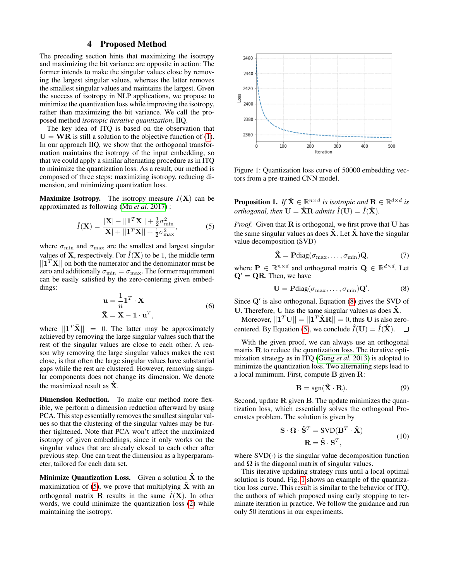## 4 Proposed Method

The preceding section hints that maximizing the isotropy and maximizing the bit variance are opposite in action: The former intends to make the singular values close by removing the largest singular values, whereas the latter removes the smallest singular values and maintains the largest. Given the success of isotropy in NLP applications, we propose to minimize the quantization loss while improving the isotropy, rather than maximizing the bit variance. We call the proposed method *isotropic iterative quantization*, IIQ.

The key idea of ITQ is based on the observation that  $U = WR$  is still a solution to the objective function of [\(1\)](#page-1-0). In our approach IIQ, we show that the orthogonal transformation maintains the isotropy of the input embedding, so that we could apply a similar alternating procedure as in ITQ to minimize the quantization loss. As a result, our method is composed of three steps: maximizing isotropy, reducing dimension, and minimizing quantization loss.

**Maximize Isotropy.** The isotropy measure  $I(X)$  can be approximated as following (Mu *et al.* [2017\)](#page-7-9) :

<span id="page-2-0"></span>
$$
\hat{I}(\mathbf{X}) = \frac{|\mathbf{X}| - ||\mathbf{1}^T \mathbf{X}|| + \frac{1}{2} \sigma_{\min}^2}{|\mathbf{X}| + ||\mathbf{1}^T \mathbf{X}|| + \frac{1}{2} \sigma_{\max}^2},
$$
(5)

where  $\sigma_{\min}$  and  $\sigma_{\max}$  are the smallest and largest singular values of **X**, respectively. For  $\hat{I}(\mathbf{X})$  to be 1, the middle term  $||\mathbf{1}^T\mathbf{X}||$  on both the numerator and the denominator must be zero and additionally  $\sigma_{\min} = \sigma_{\max}$ . The former requirement can be easily satisfied by the zero-centering given embeddings:

$$
\mathbf{u} = \frac{1}{n} \mathbf{1}^T \cdot \mathbf{X}
$$
  

$$
\bar{\mathbf{X}} = \mathbf{X} - \mathbf{1} \cdot \mathbf{u}^T,
$$
 (6)

where  $\|\mathbf{1}^T\mathbf{\bar{X}}\| = 0$ . The latter may be approximately achieved by removing the large singular values such that the rest of the singular values are close to each other. A reason why removing the large singular values makes the rest close, is that often the large singular values have substantial gaps while the rest are clustered. However, removing singular components does not change its dimension. We denote the maximized result as  $\hat{\mathbf{X}}$ .

Dimension Reduction. To make our method more flexible, we perform a dimension reduction afterward by using PCA. This step essentially removes the smallest singular values so that the clustering of the singular values may be further tightened. Note that PCA won't affect the maximized isotropy of given embeddings, since it only works on the singular values that are already closed to each other after previous step. One can treat the dimension as a hyperparameter, tailored for each data set.

**Minimize Quantization Loss.** Given a solution  $\ddot{\textbf{X}}$  to the maximization of [\(5\)](#page-2-0), we prove that multiplying  $\hat{X}$  with an orthogonal matrix **R** results in the same  $\hat{I}(\mathbf{X})$ . In other words, we could minimize the quantization loss [\(2\)](#page-1-1) while maintaining the isotropy.

<span id="page-2-2"></span>

Figure 1: Quantization loss curve of 50000 embedding vectors from a pre-trained CNN model.

**Proposition 1.** If  $\hat{\mathbf{X}} \in \mathbb{R}^{n \times d}$  is isotropic and  $\mathbf{R} \in \mathbb{R}^{d \times d}$  is *orthogonal, then*  $U = \hat{X}R$  *admits*  $\hat{I}(U) = \hat{I}(\hat{X})$ *.* 

*Proof.* Given that **R** is orthogonal, we first prove that **U** has the same singular values as does  $\hat{\mathbf{X}}$ . Let  $\hat{\mathbf{X}}$  have the singular value decomposition (SVD)

$$
\hat{\mathbf{X}} = \mathbf{P} \text{diag}(\sigma_{\text{max}}, \dots, \sigma_{\text{min}}) \mathbf{Q},\tag{7}
$$

where  $\mathbf{P} \in \mathbb{R}^{n \times d}$  and orthogonal matrix  $\mathbf{Q} \in \mathbb{R}^{d \times d}$ . Let  $\mathbf{Q}' = \mathbf{Q}\mathbf{R}$ . Then, we have

<span id="page-2-1"></span>
$$
\mathbf{U} = \mathbf{P} \text{diag}(\sigma_{\text{max}}, \dots, \sigma_{\text{min}}) \mathbf{Q}'. \tag{8}
$$

Since  $Q'$  is also orthogonal, Equation [\(8\)](#page-2-1) gives the SVD of U. Therefore, U has the same singular values as does  $\hat{\mathbf{X}}$ .

Moreover,  $||\mathbf{1}^T\mathbf{U}|| = ||\mathbf{1}^T\hat{\mathbf{X}}\mathbf{R}|| = 0$ , thus  $\mathbf{U}$  is also zero-centered. By Equation [\(5\)](#page-2-0), we conclude  $\hat{I}(\mathbf{U}) = \hat{I}(\hat{\mathbf{X}})$ .  $\Box$ 

With the given proof, we can always use an orthogonal matrix **R** to reduce the quantization loss. The iterative optimization strategy as in ITQ [\(Gong](#page-7-8) *et al.* 2013) is adopted to minimize the quantization loss. Two alternating steps lead to a local minimum. First, compute B given R:

$$
\mathbf{B} = \text{sgn}(\hat{\mathbf{X}} \cdot \mathbf{R}).\tag{9}
$$

Second, update R given B. The update minimizes the quantization loss, which essentially solves the orthogonal Procrustes problem. The solution is given by

$$
\mathbf{S} \cdot \mathbf{\Omega} \cdot \hat{\mathbf{S}}^T = \text{SVD}(\mathbf{B}^T \cdot \hat{\mathbf{X}})
$$

$$
\mathbf{R} = \hat{\mathbf{S}} \cdot \mathbf{S}^T,
$$
(10)

where  $SVD(\cdot)$  is the singular value decomposition function and  $\Omega$  is the diagonal matrix of singular values.

This iterative updating strategy runs until a local optimal solution is found. Fig. [1](#page-2-2) shows an example of the quantization loss curve. This result is similar to the behavior of ITQ, the authors of which proposed using early stopping to terminate iteration in practice. We follow the guidance and run only 50 iterations in our experiments.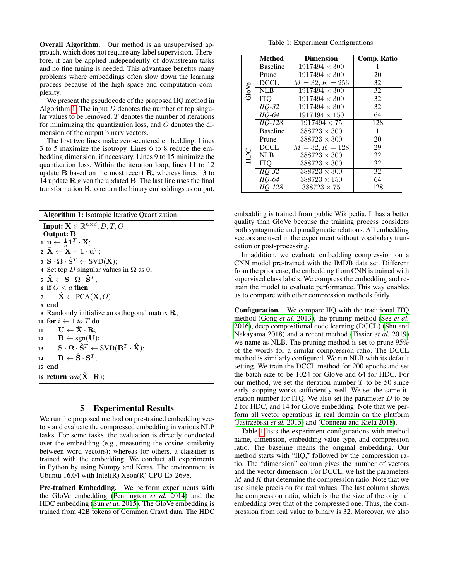Overall Algorithm. Our method is an unsupervised approach, which does not require any label supervision. Therefore, it can be applied independently of downstream tasks and no fine tuning is needed. This advantage benefits many problems where embeddings often slow down the learning process because of the high space and computation complexity.

We present the pseudocode of the proposed IIQ method in Algorithm [1.](#page-3-0) The input  $D$  denotes the number of top singular values to be removed,  $T$  denotes the number of iterations for minimizing the quantization loss, and  $O$  denotes the dimension of the output binary vectors.

The first two lines make zero-centered embedding. Lines 3 to 5 maximize the isotropy. Lines 6 to 8 reduce the embedding dimension, if necessary. Lines 9 to 15 minimize the quantization loss. Within the iteration loop, lines 11 to 12 update B based on the most recent R, whereas lines 13 to 14 update R given the updated B. The last line uses the final transformation R to return the binary embeddings as output.

Algorithm 1: Isotropic Iterative Quantization Input:  $\mathbf{X} \in \mathbb{R}^{n \times d}$ ,  $D$ ,  $T$ ,  $O$ Output: B  $\mathbf{u} \leftarrow \frac{1}{n} \mathbf{1}^T \cdot \mathbf{X};$  $\mathbf{2}\;\; \mathbf{\bar{X}} \leftarrow \mathbf{\bar{X}} - \mathbf{1} \cdot \mathbf{u}^T;$  $3 \text{ } \mathbf{S} \cdot \mathbf{\Omega} \cdot \hat{\mathbf{S}}^T \leftarrow \text{SVD}(\bar{\mathbf{X}});$ 4 Set top D singular values in  $\Omega$  as 0;  $\hat{\mathbf{S}}\times\hat{\mathbf{S}}\leftarrow\mathbf{S}\cdot\mathbf{\Omega}\cdot\hat{\mathbf{S}}^{T};$ 6 if  $O < d$  then 7  $\mathbf{\hat{X}} \leftarrow \text{PCA}(\mathbf{\hat{X}}, O)$ 8 end <sup>9</sup> Randomly initialize an orthogonal matrix R; 10 for  $i \leftarrow 1$  to T do  $\mathbf{11} \quad | \quad \mathbf{U} \leftarrow \mathbf{\hat{X}} \cdot \mathbf{R};$ 12  $\mathbf{B} \leftarrow \text{sgn}(\mathbf{U});$  $\mathbf{13} \quad \Big| \quad \mathbf{S}\cdot\mathbf{\Omega}\cdot\mathbf{\hat{S}}^T \leftarrow \text{SVD}(\mathbf{B}^T\cdot\mathbf{\hat{X}});$  $\mathbf{R} \leftarrow \mathbf{\hat{S}} \cdot \mathbf{S}^T;$ 15 end 16 return  $sgn(\hat{\mathbf{X}} \cdot \mathbf{R});$ 

## 5 Experimental Results

<span id="page-3-0"></span>We run the proposed method on pre-trained embedding vectors and evaluate the compressed embedding in various NLP tasks. For some tasks, the evaluation is directly conducted over the embedding (e.g., measuring the cosine similarity between word vectors); whereas for others, a classifier is trained with the embedding. We conduct all experiments in Python by using Numpy and Keras. The environment is Ubuntu 16.04 with Intel(R) Xeon(R) CPU E5-2698.

Pre-trained Embedding. We perform experiments with the GloVe embedding [\(Pennington](#page-7-2) *et al.* 2014) and the HDC embedding (Sun *et al.* [2015\)](#page-7-14). The GloVe embedding is trained from 42B tokens of Common Crawl data. The HDC

Table 1: Experiment Configurations.

<span id="page-3-1"></span>

|       | <b>Method</b>           | <b>Dimension</b>            | <b>Comp. Ratio</b> |
|-------|-------------------------|-----------------------------|--------------------|
|       | <b>Baseline</b>         | $1917494 \times 300$        |                    |
|       | Prune                   | $1917494 \times 300$        | $\overline{20}$    |
|       | <b>DCCL</b>             | $M = 32, K = 256$           | $\overline{32}$    |
| GloVe | $\overline{\text{NLE}}$ | $1917494 \times 300$        | $\overline{32}$    |
|       | <b>ITQ</b>              | $1917494 \times 300$        | 32                 |
|       | $\overline{IQ}$ -32     | $1917494 \times 300$        | $\overline{32}$    |
|       | $IIO-64$                | $1917494 \times 150$        | 64                 |
|       | $HO-128$                | $1917494 \times 75$         | 128                |
|       | <b>Baseline</b>         | $388723 \times 300$         |                    |
|       | Prune                   | $388723 \times 300$         | 20                 |
|       | <b>DCCL</b>             | $M = 32, K = 128$           | 29                 |
| HDC   | <b>NLB</b>              | $\frac{388723 \times 300}{$ | 32                 |
|       | ITO                     | $388723 \times 300$         | 32                 |
|       | $HO-32$                 | $388723 \times 300$         | $\overline{32}$    |
|       | $IIO-64$                | $388723 \times 150$         | 64                 |
|       | $HO-128$                | $388723 \times 75$          | 128                |

embedding is trained from public Wikipedia. It has a better quality than GloVe because the training process considers both syntagmatic and paradigmatic relations. All embedding vectors are used in the experiment without vocabulary truncation or post-processing.

In addition, we evaluate embedding compression on a CNN model pre-trained with the IMDB data set. Different from the prior case, the embedding from CNN is trained with supervised class labels. We compress the embedding and retrain the model to evaluate performance. This way enables us to compare with other compression methods fairly.

Configuration. We compare IIQ with the traditional ITQ method [\(Gong](#page-7-8) *et al.* 2013), the pruning method (See *[et al.](#page-7-13)* [2016\)](#page-7-13), deep compositional code learning (DCCL) [\(Shu and](#page-7-15) [Nakayama 2018\)](#page-7-15) and a recent method [\(Tissier](#page-8-0) *et al.* 2019) we name as NLB. The pruning method is set to prune 95% of the words for a similar compression ratio. The DCCL method is similarly configured. We run NLB with its default setting. We train the DCCL method for 200 epochs and set the batch size to be 1024 for GloVe and 64 for HDC. For our method, we set the iteration number  $T$  to be 50 since early stopping works sufficiently well. We set the same iteration number for ITQ. We also set the parameter  $D$  to be 2 for HDC, and 14 for Glove embedding. Note that we perform all vector operations in real domain on the platform [\(Jastrzebski](#page-7-16) *et al.* 2015) and [\(Conneau and Kiela 2018\)](#page-6-3).

Table [1](#page-3-1) lists the experiment configurations with method name, dimension, embedding value type, and compression ratio. The baseline means the original embedding. Our method starts with "IIQ," followed by the compression ratio. The "dimension" column gives the number of vectors and the vector dimension. For DCCL, we list the parameters  $M$  and  $K$  that determine the compression ratio. Note that we use single precision for real values. The last column shows the compression ratio, which is the the size of the original embedding over that of the compressed one. Thus, the compression from real value to binary is 32. Moreover, we also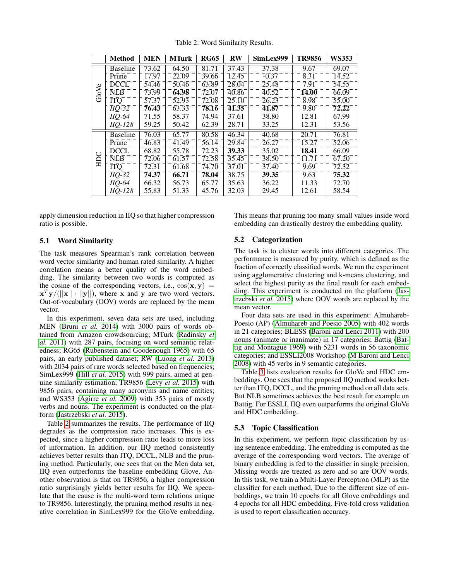<span id="page-4-0"></span>

|       | <b>Method</b>                   | MEN                                      | <b>MTurk</b>        | <b>RG65</b>               | RW                  | SimLex999          | <b>TR9856</b>                | WS353              |
|-------|---------------------------------|------------------------------------------|---------------------|---------------------------|---------------------|--------------------|------------------------------|--------------------|
|       | <b>Baseline</b>                 | 73.62                                    | 64.50               | 81.71                     | 37.43               | 37.38              | 9.67                         | 69.07              |
|       | Prune                           | Ī7.97                                    | 22.09               | 39.66                     | $\overline{12.45}$  | $-0.37$            | $\overline{8.31}$            | 14.52              |
|       | DCCL                            | 54.46                                    | 50.46               | 63.89                     | 28.04               | 25.48              | 7.91                         | $\overline{54.55}$ |
| GloVe | <b>NLB</b>                      | 73.99                                    | $\bar{6}4.\bar{98}$ | $\bar{7}2.\bar{0}\bar{7}$ | 40.86               | $\overline{40.52}$ | $\bar{14.00}$                | 66.09              |
|       | <b>ITO</b>                      | 57.37                                    | $\bar{52.93}$       | $\bar{7}2.\bar{0}\bar{8}$ | $\bar{2}5.\bar{10}$ | $\bar{2}6.23$      | 8.98                         | $\overline{55.00}$ |
|       | $\overline{I}I\overline{O}$ -32 | 76.43                                    | $\overline{63.33}$  | 78.16                     | 41.35               | 41.87              | $\overline{9}.\overline{8}0$ | $\overline{72.22}$ |
|       | <i>IIO-64</i>                   | 71.55                                    | 58.37               | 74.94                     | 37.61               | 38.80              | 12.81                        | 67.99              |
|       | $IIO - 128$                     | 59.25                                    | 50.42               | 62.39                     | 28.71               | 33.25              | 12.31                        | 53.56              |
|       | <b>Baseline</b>                 | 76.03                                    | 65.77               | 80.58                     | $\overline{46.34}$  | 40.68              | 20.71                        | 76.81              |
|       | Prune                           | 46.83                                    | $\sqrt{41.49}$      | 56.14                     | 29.84               | 26.27              | 15.27                        | $\overline{52.06}$ |
|       | ĐCCL                            | $\bar{6}8.\bar{8}\bar{2}$                | 55.78               | $\bar{7}2.\bar{2}\bar{3}$ | $\overline{39.33}$  | $\overline{35.02}$ | 18.41                        | 66.09              |
| 요     | <b>NLB</b>                      | 72.06                                    | 61.57               | 72.58                     | 35.45               | $\bar{38.50}$      | 11.71                        | 67.20              |
|       | <b>ITO</b>                      | $\overline{7}2.\overline{3}\overline{1}$ | $61.\overline{68}$  | 74.70                     | 37.01               | 37.40              | $\overline{9.69}$            | 72.32              |
|       | $\overline{I}I\overline{O}$ -32 | 74.37                                    | 66.71               | 78.04                     | 38.75               | 39.35              | 9.63                         | 75.32              |
|       | <i>IIO-64</i>                   | 66.32                                    | 56.73               | 65.77                     | 35.63               | 36.22              | 11.33                        | 72.70              |
|       | $IIO-128$                       | 55.83                                    | 51.33               | 45.76                     | 32.03               | 29.45              | 12.61                        | 58.54              |

Table 2: Word Similarity Results.

apply dimension reduction in IIQ so that higher compression ratio is possible.

## 5.1 Word Similarity

The task measures Spearman's rank correlation between word vector similarity and human rated similarity. A higher correlation means a better quality of the word embedding. The similarity between two words is computed as the cosine of the corresponding vectors, i.e.,  $cos(\mathbf{x}, \mathbf{y})$  =  $\mathbf{x}^T \mathbf{y}/(||\mathbf{x}|| \cdot ||\mathbf{y}||)$ , where x and y are two word vectors. Out-of-vocabulary (OOV) words are replaced by the mean vector.

In this experiment, seven data sets are used, including MEN [\(Bruni](#page-6-4) *et al.* 2014) with 3000 pairs of words obtained from Amazon crowdsourcing; MTurk [\(Radinsky](#page-7-17) *et al.* [2011\)](#page-7-17) with 287 pairs, focusing on word semantic relatedness; RG65 [\(Rubenstein and Goodenough 1965\)](#page-7-18) with 65 pairs, an early published dataset; RW [\(Luong](#page-7-19) *et al.* 2013) with 2034 pairs of rare words selected based on frequencies; SimLex999 (Hill *et al.* [2015\)](#page-7-20) with 999 pairs, aimed at genuine similarity estimation; TR9856 [\(Levy](#page-7-21) *et al.* 2015) with 9856 pairs, containing many acronyms and name entities; and WS353 [\(Agirre](#page-6-5) *et al.* 2009) with 353 pairs of mostly verbs and nouns. The experiment is conducted on the platform [\(Jastrzebski](#page-7-16) *et al.* 2015).

Table [2](#page-4-0) summarizes the results. The performance of IIQ degrades as the compression ratio increases. This is expected, since a higher compression ratio leads to more loss of information. In addition, our IIQ method consistently achieves better results than ITQ, DCCL, NLB and the pruning method. Particularly, one sees that on the Men data set, IIQ even outperforms the baseline embedding Glove. Another observation is that on TR9856, a higher compression ratio surprisingly yields better results for IIQ. We speculate that the cause is the multi-word term relations unique to TR9856. Interestingly, the pruning method results in negative correlation in SimLex999 for the GloVe embedding.

This means that pruning too many small values inside word embedding can drastically destroy the embedding quality.

## 5.2 Categorization

The task is to cluster words into different categories. The performance is measured by purity, which is defined as the fraction of correctly classified words. We run the experiment using agglomerative clustering and k-means clustering, and select the highest purity as the final result for each embedding. This experiment is conducted on the platform [\(Jas](#page-7-16)[trzebski](#page-7-16) *et al.* 2015) where OOV words are replaced by the mean vector.

Four data sets are used in this experiment: Almuhareb-Poesio (AP) [\(Almuhareb and Poesio 2005\)](#page-6-6) with 402 words in 21 categories; BLESS [\(Baroni and Lenci 2011\)](#page-6-7) with 200 nouns (animate or inanimate) in 17 categories; Battig [\(Bat](#page-6-8)[tig and Montague 1969\)](#page-6-8) with 5231 words in 56 taxonomic categories; and ESSLI2008 Workshop [\(M Baroni and Lenci](#page-7-22) [2008\)](#page-7-22) with 45 verbs in 9 semantic categories.

Table [3](#page-5-0) lists evaluation results for GloVe and HDC embeddings. One sees that the proposed IIQ method works better than ITQ, DCCL, and the pruning method on all data sets. But NLB sometimes achieves the best result for example on Battig. For ESSLI, IIQ even outperforms the original GloVe and HDC embedding.

## 5.3 Topic Classification

In this experiment, we perform topic classification by using sentence embedding. The embedding is computed as the average of the corresponding word vectors. The average of binary embedding is fed to the classifier in single precision. Missing words are treated as zero and so are OOV words. In this task, we train a Multi-Layer Perceptron (MLP) as the classifier for each method. Due to the different size of embeddings, we train 10 epochs for all Glove embeddings and 4 epochs for all HDC embedding. Five-fold cross validation is used to report classification accuracy.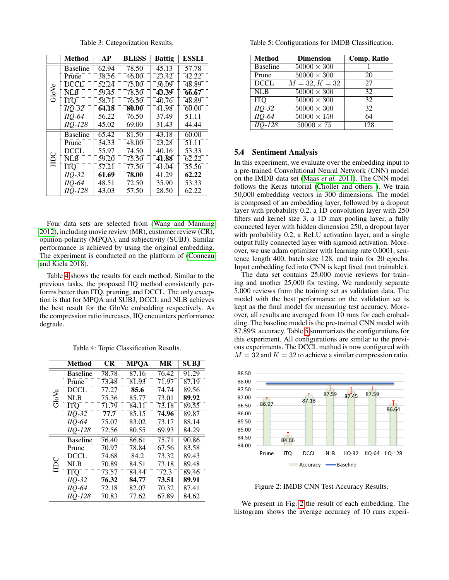<span id="page-5-0"></span>

|       | Method            | <b>AP</b> | <b>BLESS</b>       | <b>Battig</b>      | ESSLI              |
|-------|-------------------|-----------|--------------------|--------------------|--------------------|
|       | <b>Baseline</b>   | 62.94     | 78.50              | 45.13              | 57.78              |
|       | Prune             | 38.56     | 46.00              | 23.42              | -42.22             |
|       | DCCL.             | 52.24     | 75.00              | 36.09              | -48.89             |
| GloVe | ÑĹR               | 59.45     | 78.50              | 43.39              | 66.67              |
|       | ĪTO <sup>-</sup>  | 58.71     | 76.50              | $-40.76$           | $\overline{48.89}$ |
|       | ĪIŌ-32            | 64.18     | 80.00              | 41.98              | 60.00              |
|       | IIO-64            | 56.22     | 76.50              | 37.49              | 51.11              |
|       | <i>IIO-128</i>    | 45.02     | 69.00              | 31.43              | 44.44              |
|       | <b>Baseline</b>   | 65.42     | 81.50              | 43.18              | 60.00              |
|       | Prune             | 34.33     | 48.00              | 23.28              | 31.TT              |
|       | DCCL <sup>-</sup> | 55.97     | 74.50              | $-40.16$           | $\overline{53.33}$ |
| HDC   | NL B              | 59.20     | $75.\overline{50}$ | $41.\overline{88}$ | 62.22              |
|       | <b>ITO</b>        | 57.21     | 77.50              | 41.04              | 55.56              |
|       | IIŌ-32            | 61.69     | 78.00              | 41.29              | 62.22              |
|       | <i>IIQ-64</i>     | 48.51     | 72.50              | 35.90              | 53.33              |
|       | <i>IIO-128</i>    | 43.03     | 57.50              | 28.50              | 62.22              |

Table 3: Categorization Results.

Four data sets are selected from [\(Wang and Manning](#page-8-1) [2012\)](#page-8-1), including movie review (MR), customer review (CR), opinion-polarity (MPQA), and subjectivity (SUBJ). Similar performance is achieved by using the original embedding. The experiment is conducted on the platform of [\(Conneau](#page-6-3) [and Kiela 2018\)](#page-6-3).

Table [4](#page-5-1) shows the results for each method. Similar to the previous tasks, the proposed IIQ method consistently performs better than ITQ, pruning, and DCCL. The only exception is that for MPQA and SUBJ, DCCL and NLB achieves the best result for the GloVe embedding respectively. As the compression ratio increases, IIQ encounters performance degrade.

<span id="page-5-1"></span>

|       | Method                          | <b>CR</b>                 | <b>MPQA</b> | MR    | <b>SUBJ</b> |
|-------|---------------------------------|---------------------------|-------------|-------|-------------|
|       | <b>Baseline</b>                 | 78.78                     | 87.16       | 76.42 | 91.29       |
|       | Prune                           | $\bar{7}3\bar{.}4\bar{8}$ | 81.93       | 7Ī.97 | 87.19       |
|       | ĐCCL                            | 77.27                     | 85.6        | 74.74 | 89.36       |
| GloVe | <b>NLB</b>                      | 75.36                     | 85.77       | 73.01 | 89.92       |
|       | ĪTO <sup>-</sup>                | 71.79                     | 84.11       | 73.18 | 89.55       |
|       | $\bar{I}I\bar{O}$ -32           | 77.7                      | 85.15       | 74.96 | 89.87       |
|       | <i>IIO-64</i>                   | 75.07                     | 83.02       | 73.17 | 88.14       |
|       | $IIO-128$                       | 72.56                     | 80.55       | 69.93 | 84.29       |
|       | <b>Baseline</b>                 | 76.40                     | 86.61       | 75.71 | 90.86       |
|       | Prune                           | 70.97                     | 78.84       | 67.56 | 83.58       |
| ر     | <b>DCCL</b>                     | 74.68                     | 84.2        | 73.32 | 89.43       |
| 요     | <b>NLB</b>                      | 70.89                     | 84.51       | 73.18 | 89.48       |
|       | <b>ITO</b>                      | 73.57                     | 84.44       | 72.3  | 89.46       |
|       | $\bar{I}I\bar{O}$ -32 $\bar{I}$ | $\bar{76.32}$             | 84.77       | 73.51 | 89.91       |
|       | IIQ-64                          | 72.18                     | 82.07       | 70.32 | 87.41       |
|       | <i>IIQ-128</i>                  | 70.83                     | 77.62       | 67.89 | 84.62       |

Table 4: Topic Classification Results.

<span id="page-5-2"></span>Table 5: Configurations for IMDB Classification.

| Method              | <b>Dimension</b>   | <b>Comp. Ratio</b> |
|---------------------|--------------------|--------------------|
| <b>Baseline</b>     | $50000 \times 300$ |                    |
| Prune               | $50000 \times 300$ | 20                 |
| <b>DCCL</b>         | $M = 32, K = 32$   | $\overline{27}$    |
| <b>NLB</b>          | $50000 \times 300$ | 32                 |
| <b>ITO</b>          | $50000 \times 300$ | 32                 |
| $\overline{IO}$ -32 | $50000 \times 300$ | 32                 |
| $IO-64$             | $50000 \times 150$ | 64                 |
| $HO-128$            | $50000 \times 75$  | 128                |

#### 5.4 Sentiment Analysis

In this experiment, we evaluate over the embedding input to a pre-trained Convolutional Neural Network (CNN) model on the IMDB data set [\(Maas](#page-7-23) *et al.* 2011). The CNN model follows the Keras tutorial [\(Chollet and others \)](#page-6-9). We train 50,000 embedding vectors in 300 dimensions. The model is composed of an embedding layer, followed by a dropout layer with probability 0.2, a 1D convolution layer with 250 filters and kernel size 3, a 1D max pooling layer, a fully connected layer with hidden dimension 250, a dropout layer with probability 0.2, a ReLU activation layer, and a single output fully connected layer with sigmoid activation. Moreover, we use adam optimizer with learning rate 0.0001, sentence length 400, batch size 128, and train for 20 epochs. Input embedding fed into CNN is kept fixed (not trainable).

The data set contains 25,000 movie reviews for training and another 25,000 for testing. We randomly separate 5,000 reviews from the training set as validation data. The model with the best performance on the validation set is kept as the final model for measuring test accuracy. Moreover, all results are averaged from 10 runs for each embedding. The baseline model is the pre-trained CNN model with 87.89% accuracy. Table [5](#page-5-2) summarizes the configurations for this experiment. All configurations are similar to the previous experiments. The DCCL method is now configured with  $M = 32$  and  $K = 32$  to achieve a similar compression ratio.

<span id="page-5-3"></span>

Figure 2: IMDB CNN Test Accuracy Results.

We present in Fig. [2](#page-5-3) the result of each embedding. The histogram shows the average accuracy of 10 runs experi-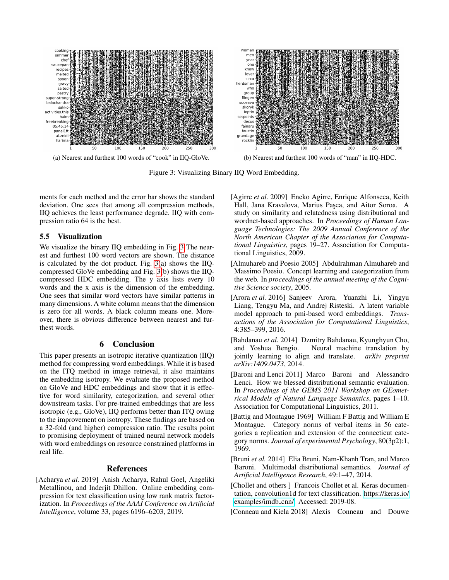<span id="page-6-10"></span>

Figure 3: Visualizing Binary IIQ Word Embedding.

ments for each method and the error bar shows the standard deviation. One sees that among all compression methods, IIQ achieves the least performance degrade. IIQ with compression ratio 64 is the best.

## 5.5 Visualization

We visualize the binary IIQ embedding in Fig. [3](#page-6-10) The nearest and furthest 100 word vectors are shown. The distance is calculated by the dot product. Fig. [3\(](#page-6-10)a) shows the IIQcompressed GloVe embedding and Fig. [3\(](#page-6-10)b) shows the IIQcompressed HDC embedding. The y axis lists every 10 words and the x axis is the dimension of the embedding. One sees that similar word vectors have similar patterns in many dimensions. A white column means that the dimension is zero for all words. A black column means one. Moreover, there is obvious difference between nearest and furthest words.

## 6 Conclusion

This paper presents an isotropic iterative quantization (IIQ) method for compressing word embeddings. While it is based on the ITQ method in image retrieval, it also maintains the embedding isotropy. We evaluate the proposed method on GloVe and HDC embeddings and show that it is effective for word similarity, categorization, and several other downstream tasks. For pre-trained embeddings that are less isotropic (e.g., GloVe), IIQ performs better than ITQ owing to the improvement on isotropy. These findings are based on a 32-fold (and higher) compression ratio. The results point to promising deployment of trained neural network models with word embeddings on resource constrained platforms in real life.

## References

<span id="page-6-1"></span>[Acharya *et al.* 2019] Anish Acharya, Rahul Goel, Angeliki Metallinou, and Inderjit Dhillon. Online embedding compression for text classification using low rank matrix factorization. In *Proceedings of the AAAI Conference on Artificial Intelligence*, volume 33, pages 6196–6203, 2019.

- <span id="page-6-5"></span>[Agirre *et al.* 2009] Eneko Agirre, Enrique Alfonseca, Keith Hall, Jana Kravalova, Marius Paşca, and Aitor Soroa. A study on similarity and relatedness using distributional and wordnet-based approaches. In *Proceedings of Human Language Technologies: The 2009 Annual Conference of the North American Chapter of the Association for Computational Linguistics*, pages 19–27. Association for Computational Linguistics, 2009.
- <span id="page-6-6"></span>[Almuhareb and Poesio 2005] Abdulrahman Almuhareb and Massimo Poesio. Concept learning and categorization from the web. In *proceedings of the annual meeting of the Cognitive Science society*, 2005.
- <span id="page-6-2"></span>[Arora *et al.* 2016] Sanjeev Arora, Yuanzhi Li, Yingyu Liang, Tengyu Ma, and Andrej Risteski. A latent variable model approach to pmi-based word embeddings. *Transactions of the Association for Computational Linguistics*, 4:385–399, 2016.
- <span id="page-6-0"></span>[Bahdanau *et al.* 2014] Dzmitry Bahdanau, Kyunghyun Cho, and Yoshua Bengio. Neural machine translation by jointly learning to align and translate. *arXiv preprint arXiv:1409.0473*, 2014.
- <span id="page-6-7"></span>[Baroni and Lenci 2011] Marco Baroni and Alessandro Lenci. How we blessed distributional semantic evaluation. In *Proceedings of the GEMS 2011 Workshop on GEometrical Models of Natural Language Semantics*, pages 1–10. Association for Computational Linguistics, 2011.
- <span id="page-6-8"></span>[Battig and Montague 1969] William F Battig and William E Montague. Category norms of verbal items in 56 categories a replication and extension of the connecticut category norms. *Journal of experimental Psychology*, 80(3p2):1, 1969.
- <span id="page-6-4"></span>[Bruni *et al.* 2014] Elia Bruni, Nam-Khanh Tran, and Marco Baroni. Multimodal distributional semantics. *Journal of Artificial Intelligence Research*, 49:1–47, 2014.
- <span id="page-6-9"></span>[Chollet and others ] Francois Chollet et al. Keras documentation, convolution1d for text classification. [https://keras.io/](https://keras.io/examples/imdb_cnn/) [examples/imdb](https://keras.io/examples/imdb_cnn/)\_cnn/. Accessed: 2019-08.
- <span id="page-6-3"></span>[Conneau and Kiela 2018] Alexis Conneau and Douwe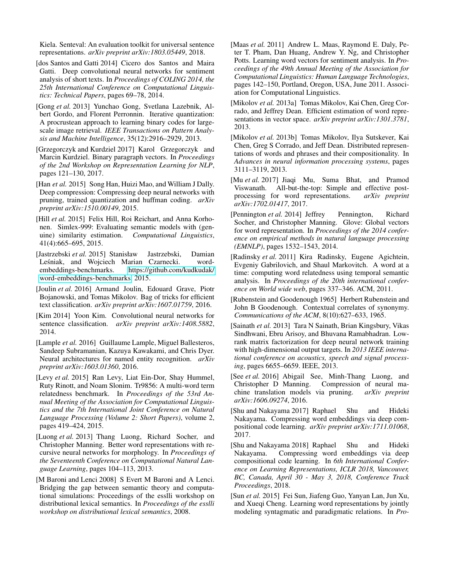Kiela. Senteval: An evaluation toolkit for universal sentence representations. *arXiv preprint arXiv:1803.05449*, 2018.

- <span id="page-7-3"></span>[dos Santos and Gatti 2014] Cicero dos Santos and Maira Gatti. Deep convolutional neural networks for sentiment analysis of short texts. In *Proceedings of COLING 2014, the 25th International Conference on Computational Linguistics: Technical Papers*, pages 69–78, 2014.
- <span id="page-7-8"></span>[Gong *et al.* 2013] Yunchao Gong, Svetlana Lazebnik, Albert Gordo, and Florent Perronnin. Iterative quantization: A procrustean approach to learning binary codes for largescale image retrieval. *IEEE Transactions on Pattern Analysis and Machine Intelligence*, 35(12):2916–2929, 2013.
- <span id="page-7-7"></span>[Grzegorczyk and Kurdziel 2017] Karol Grzegorczyk and Marcin Kurdziel. Binary paragraph vectors. In *Proceedings of the 2nd Workshop on Representation Learning for NLP*, pages 121–130, 2017.
- <span id="page-7-11"></span>[Han *et al.* 2015] Song Han, Huizi Mao, and William J Dally. Deep compression: Compressing deep neural networks with pruning, trained quantization and huffman coding. *arXiv preprint arXiv:1510.00149*, 2015.
- <span id="page-7-20"></span>[Hill *et al.* 2015] Felix Hill, Roi Reichart, and Anna Korhonen. Simlex-999: Evaluating semantic models with (genuine) similarity estimation. *Computational Linguistics*, 41(4):665–695, 2015.
- <span id="page-7-16"></span>[Jastrzebski *et al.* 2015] Stanisław Jastrzebski, Damian Leśniak, and Wojciech Marian Czarnecki. embeddings-benchmarks. [https://github.com/kudkudak/](https://github.com/kudkudak/word-embeddings-benchmarks) [word-embeddings-benchmarks,](https://github.com/kudkudak/word-embeddings-benchmarks) 2015.
- <span id="page-7-0"></span>[Joulin et al. 2016] Armand Joulin, Edouard Grave, Piotr Bojanowski, and Tomas Mikolov. Bag of tricks for efficient text classification. *arXiv preprint arXiv:1607.01759*, 2016.
- <span id="page-7-10"></span>[Kim 2014] Yoon Kim. Convolutional neural networks for sentence classification. *arXiv preprint arXiv:1408.5882*, 2014.
- <span id="page-7-4"></span>[Lample *et al.* 2016] Guillaume Lample, Miguel Ballesteros, Sandeep Subramanian, Kazuya Kawakami, and Chris Dyer. Neural architectures for named entity recognition. *arXiv preprint arXiv:1603.01360*, 2016.
- <span id="page-7-21"></span>[Levy *et al.* 2015] Ran Levy, Liat Ein-Dor, Shay Hummel, Ruty Rinott, and Noam Slonim. Tr9856: A multi-word term relatedness benchmark. In *Proceedings of the 53rd Annual Meeting of the Association for Computational Linguistics and the 7th International Joint Conference on Natural Language Processing (Volume 2: Short Papers)*, volume 2, pages 419–424, 2015.
- <span id="page-7-19"></span>[Luong et al. 2013] Thang Luong, Richard Socher, and Christopher Manning. Better word representations with recursive neural networks for morphology. In *Proceedings of the Seventeenth Conference on Computational Natural Language Learning*, pages 104–113, 2013.
- <span id="page-7-22"></span>[M Baroni and Lenci 2008] S Evert M Baroni and A Lenci. Bridging the gap between semantic theory and computational simulations: Proceedings of the esslli workshop on distributional lexical semantics. In *Proceedings of the esslli workshop on distributional lexical semantics*, 2008.
- <span id="page-7-23"></span>[Maas *et al.* 2011] Andrew L. Maas, Raymond E. Daly, Peter T. Pham, Dan Huang, Andrew Y. Ng, and Christopher Potts. Learning word vectors for sentiment analysis. In *Proceedings of the 49th Annual Meeting of the Association for Computational Linguistics: Human Language Technologies*, pages 142–150, Portland, Oregon, USA, June 2011. Association for Computational Linguistics.
- <span id="page-7-1"></span>[Mikolov et al. 2013a] Tomas Mikolov, Kai Chen, Greg Corrado, and Jeffrey Dean. Efficient estimation of word representations in vector space. *arXiv preprint arXiv:1301.3781*, 2013.
- <span id="page-7-5"></span>[Mikolov *et al.* 2013b] Tomas Mikolov, Ilya Sutskever, Kai Chen, Greg S Corrado, and Jeff Dean. Distributed representations of words and phrases and their compositionality. In *Advances in neural information processing systems*, pages 3111–3119, 2013.
- <span id="page-7-9"></span>[Mu *et al.* 2017] Jiaqi Mu, Suma Bhat, and Pramod Viswanath. All-but-the-top: Simple and effective postprocessing for word representations. *arXiv preprint arXiv:1702.01417*, 2017.
- <span id="page-7-2"></span>[Pennington *et al.* 2014] Jeffrey Pennington, Richard Socher, and Christopher Manning. Glove: Global vectors for word representation. In *Proceedings of the 2014 conference on empirical methods in natural language processing (EMNLP)*, pages 1532–1543, 2014.
- <span id="page-7-17"></span>[Radinsky *et al.* 2011] Kira Radinsky, Eugene Agichtein, Evgeniy Gabrilovich, and Shaul Markovitch. A word at a time: computing word relatedness using temporal semantic analysis. In *Proceedings of the 20th international conference on World wide web*, pages 337–346. ACM, 2011.
- <span id="page-7-18"></span>[Rubenstein and Goodenough 1965] Herbert Rubenstein and John B Goodenough. Contextual correlates of synonymy. *Communications of the ACM*, 8(10):627–633, 1965.
- <span id="page-7-12"></span>[Sainath *et al.* 2013] Tara N Sainath, Brian Kingsbury, Vikas Sindhwani, Ebru Arisoy, and Bhuvana Ramabhadran. Lowrank matrix factorization for deep neural network training with high-dimensional output targets. In *2013 IEEE international conference on acoustics, speech and signal processing*, pages 6655–6659. IEEE, 2013.
- <span id="page-7-13"></span>[See *et al.* 2016] Abigail See, Minh-Thang Luong, and Christopher D Manning. Compression of neural machine translation models via pruning. *arXiv preprint arXiv:1606.09274*, 2016.
- <span id="page-7-6"></span>[Shu and Nakayama 2017] Raphael Shu and Hideki Nakayama. Compressing word embeddings via deep compositional code learning. *arXiv preprint arXiv:1711.01068*, 2017.
- <span id="page-7-15"></span>[Shu and Nakayama 2018] Raphael Shu and Hideki Nakayama. Compressing word embeddings via deep compositional code learning. In *6th International Conference on Learning Representations, ICLR 2018, Vancouver, BC, Canada, April 30 - May 3, 2018, Conference Track Proceedings*, 2018.
- <span id="page-7-14"></span>[Sun *et al.* 2015] Fei Sun, Jiafeng Guo, Yanyan Lan, Jun Xu, and Xueqi Cheng. Learning word representations by jointly modeling syntagmatic and paradigmatic relations. In *Pro-*